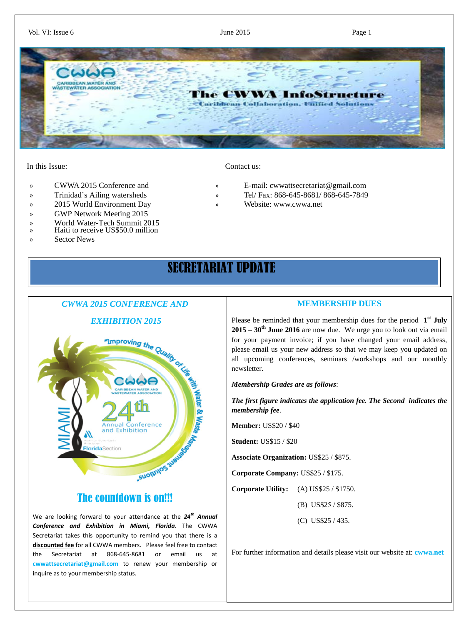#### Vol. VI: Issue 6 Page 1



#### In this Issue: Contact us:

- 
- 
- » 2015 World Environment Day » [Website: www.cwwa.net](http://www.cwwa.net/)
- » GWP Network Meeting 2015
- » World Water-Tech Summit 2015
- » Haiti to receive US\$50.0 million
- » Sector News

- » CWWA 2015 Conference and » [E-mail:](mailto:cwwattsecretariat@gmail.com) cwwattsecretariat@gmail.com
- » Trinidad's Ailing watersheds » Tel/ Fax: 868-645-8681/ 868-645-7849
	-

# SECRETARIAT UPDATE

### *CWWA 2015 CONFERENCE AND*



### The countdown is on!!!

We are looking forward to your attendance at the *24th Annual Conference and Exhibition in Miami, Florida*. The CWWA Secretariat takes this opportunity to remind you that there is a **discounted fee** for all CWWA members. Please feel free to contact the Secretariat at 868-645-8681 or email us at **cwwattsecretariat@gmail.com** to renew your membership or inquire as to your membership status.

### **MEMBERSHIP DUES**

Please be reminded that your membership dues for the period **1st July 2015 – 30th June 2016** are now due. We urge you to look out via email for your payment invoice; if you have changed your email address, please email us your new address so that we may keep you updated on all upcoming conferences, seminars /workshops and our monthly newsletter.

*Membership Grades are as follows*:

*The first figure indicates the application fee. The Second indicates the membership fee*.

**Member:** US\$20 / \$40

**Student:** US\$15 / \$20

**Associate Organization:** US\$25 / \$875.

**Corporate Company:** US\$25 / \$175.

**Corporate Utility:** (A) US\$25 / \$1750.

(B) US\$25 / \$875.

(C) US\$25 / 435.

For further information and details please visit our website at: **cwwa.net**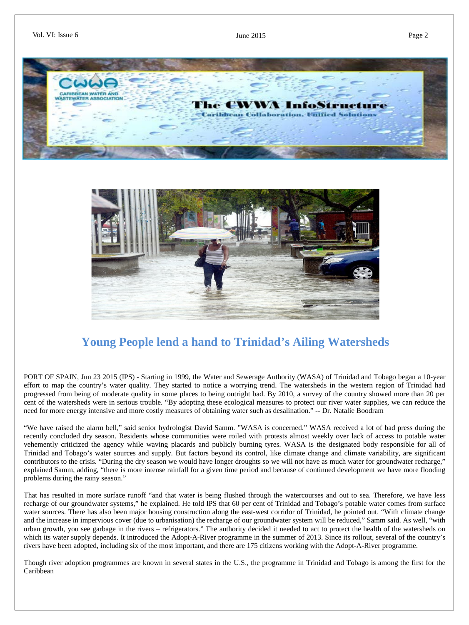



# **Young People lend a hand to Trinidad's Ailing Watersheds**

PORT OF SPAIN, Jun 23 2015 (IPS) - Starting in 1999, the Water and Sewerage Authority (WASA) of Trinidad and Tobago began a 10-year effort to map the country's water quality. They started to notice a worrying trend. The watersheds in the western region of Trinidad had progressed from being of moderate quality in some places to being outright bad. By 2010, a survey of the country showed more than 20 per cent of the watersheds were in serious trouble. "By adopting these ecological measures to protect our river water supplies, we can reduce the need for more energy intensive and more costly measures of obtaining water such as desalination." -- Dr. Natalie Boodram

"We have raised the alarm bell," said senior hydrologist David Samm. "WASA is concerned." WASA received a lot of bad press during the recently concluded dry season. Residents whose communities were roiled with protests almost weekly over lack of access to potable water vehemently criticized the agency while waving placards and publicly burning tyres. WASA is the designated body responsible for all of Trinidad and Tobago's water sources and supply. But factors beyond its control, like climate change and climate variability, are significant contributors to the crisis. "During the dry season we would have longer droughts so we will not have as much water for groundwater recharge," explained Samm, adding, "there is more intense rainfall for a given time period and because of continued development we have more flooding problems during the rainy season."

That has resulted in more surface runoff "and that water is being flushed through the watercourses and out to sea. Therefore, we have less recharge of our groundwater systems," he explained. He told IPS that 60 per cent of Trinidad and Tobago's potable water comes from surface water sources. There has also been major housing construction along the east-west corridor of Trinidad, he pointed out. "With climate change and the increase in impervious cover (due to urbanisation) the recharge of our groundwater system will be reduced," Samm said. As well, "with urban growth, you see garbage in the rivers – refrigerators." The authority decided it needed to act to protect the health of the watersheds on which its water supply depends. It introduced the Adopt-A-River programme in the summer of 2013. Since its rollout, several of the country's rivers have been adopted, including six of the most important, and there are 175 citizens working with the Adopt-A-River programme.

Though river adoption programmes are known in several states in the U.S., the programme in Trinidad and Tobago is among the first for the Caribbean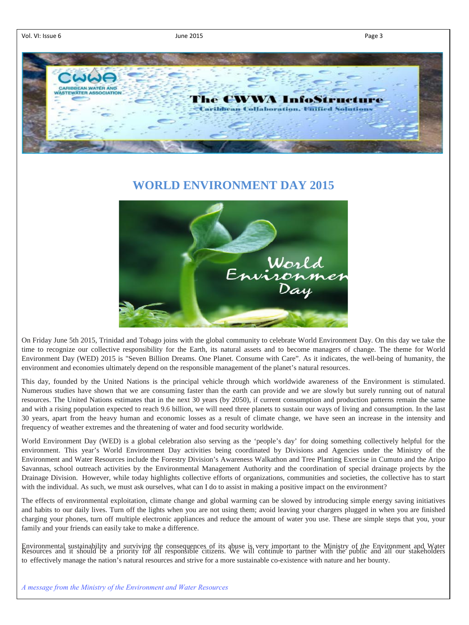Vol. VI: Issue 6 **Page 3** June 2015 **June 2015** 



### **WORLD ENVIRONMENT DAY 2015**



On Friday June 5th 2015, Trinidad and Tobago joins with the global community to celebrate World Environment Day. On this day we take the time to recognize our collective responsibility for the Earth, its natural assets and to become managers of change. The theme for World Environment Day (WED) 2015 is "Seven Billion Dreams. One Planet. Consume with Care". As it indicates, the well-being of humanity, the environment and economies ultimately depend on the responsible management of the planet's natural resources.

This day, founded by the United Nations is the principal vehicle through which worldwide awareness of the Environment is stimulated. Numerous studies have shown that we are consuming faster than the earth can provide and we are slowly but surely running out of natural resources. The United Nations estimates that in the next 30 years (by 2050), if current consumption and production patterns remain the same and with a rising population expected to reach 9.6 billion, we will need three planets to sustain our ways of living and consumption. In the last 30 years, apart from the heavy human and economic losses as a result of climate change, we have seen an increase in the intensity and frequency of weather extremes and the threatening of water and food security worldwide.

World Environment Day (WED) is a global celebration also serving as the 'people's day' for doing something collectively helpful for the environment. This year's World Environment Day activities being coordinated by Divisions and Agencies under the Ministry of the Environment and Water Resources include the Forestry Division's Awareness Walkathon and Tree Planting Exercise in Cumuto and the Aripo Savannas, school outreach activities by the Environmental Management Authority and the coordination of special drainage projects by the Drainage Division. However, while today highlights collective efforts of organizations, communities and societies, the collective has to start with the individual. As such, we must ask ourselves, what can I do to assist in making a positive impact on the environment?

The effects of environmental exploitation, climate change and global warming can be slowed by introducing simple energy saving initiatives and habits to our daily lives. Turn off the lights when you are not using them; avoid leaving your chargers plugged in when you are finished charging your phones, turn off multiple electronic appliances and reduce the amount of water you use. These are simple steps that you, your family and your friends can easily take to make a difference.

Environmental sustainability and surviving the consequences of its abuse is very important to the Ministry of the Environment and Water<br>Resources and it should be a priority for all responsible citizens. We will continue t to effectively manage the nation's natural resources and strive for a more sustainable co-existence with nature and her bounty.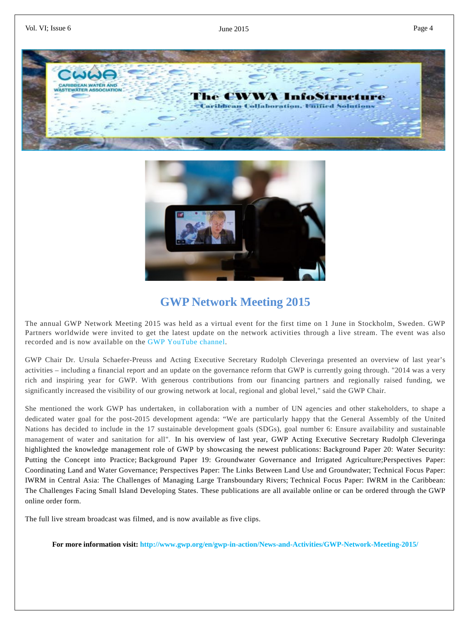



## **GWP Network Meeting 2015**

The annual GWP Network Meeting 2015 was held as a virtual event for the first time on 1 June in Stockholm, Sweden. GWP Partners worldwide were invited to get the latest update on the network activities through a live stream. The event was also recorded and is now available on the [GWP YouTube channel.](https://www.youtube.com/user/gwplive)

GWP Chair Dr. Ursula Schaefer-Preuss and Acting Executive Secretary Rudolph Cleveringa presented an overview of last year's activities – including a financial report and an update on the governance reform that GWP is currently going through. "2014 was a very rich and inspiring year for GWP. With generous contributions from our financing partners and regionally raised funding, we significantly increased the visibility of our growing network at local, regional and global level," said the GWP Chair.

She mentioned the work GWP has undertaken, in collaboration with a number of UN agencies and other stakeholders, to shape a dedicated water goal for the post-2015 development agenda: "We are particularly happy that the General Assembly of the United Nations has decided to include in the 17 sustainable development goals (SDGs), goal number 6: Ensure availability and sustainable management of water and sanitation for all". In his overview of last year, GWP Acting Executive Secretary Rudolph Cleveringa highlighted the knowledge management role of GWP by showcasing the newest publications: [Background Paper 20: Water Security:](http://www.gwp.org/Global/ToolBox/Publications/Background%20papers/GWP_TEC20_web.pdf)  [Putting the Concept into Practice;](http://www.gwp.org/Global/ToolBox/Publications/Background%20papers/GWP_TEC20_web.pdf) [Background Paper 19: Groundwater Governance and Irrigated Agriculture;](http://www.gwp.org/Global/ToolBox/Publications/Background%20papers/GWP_TEC_19_web.pdf)[Perspectives Paper:](http://www.gwp.org/Global/ToolBox/Publications/Perspective%20Papers/07_perspectives_paper_land_water_governance.pdf)  [Coordinating Land and Water Governance;](http://www.gwp.org/Global/ToolBox/Publications/Perspective%20Papers/07_perspectives_paper_land_water_governance.pdf) [Perspectives Paper: The Links Between Land Use and Groundwater;](http://www.gwp.org/Global/ToolBox/Publications/Perspective%20Papers/perspective_paper_landuse_and_groundwater_no6_english.pdf) [Technical Focus Paper:](http://www.gwp.org/Global/ToolBox/Publications/Technical%20Focus%20Papers/05%20Integrated%20water%20resources%20management%20in%20Central%20Asia.pdf)  [IWRM in Central Asia: The Challenges of Managing Large Transboundary Rivers;](http://www.gwp.org/Global/ToolBox/Publications/Technical%20Focus%20Papers/05%20Integrated%20water%20resources%20management%20in%20Central%20Asia.pdf) [Technical Focus Paper: IWRM in the Caribbean:](http://www.gwp.org/Global/ToolBox/Publications/Technical%20Focus%20Papers/04%20Caribbean_TFP_2014.pdf)  [The Challenges Facing Small Island Developing States.](http://www.gwp.org/Global/ToolBox/Publications/Technical%20Focus%20Papers/04%20Caribbean_TFP_2014.pdf) These publications are all [available online](http://www.gwp.org/en/About-GWP/Publications/) or can be ordered through the [GWP](http://www.gwp.org/About-GWP/Publications/Publications-Order-Form/)  [online order form.](http://www.gwp.org/About-GWP/Publications/Publications-Order-Form/)

The full live stream broadcast was filmed, and is now available as five clips.

**For more information visit: http://www.gwp.org/en/gwp-in-action/News-and-Activities/GWP-Network-Meeting-2015/**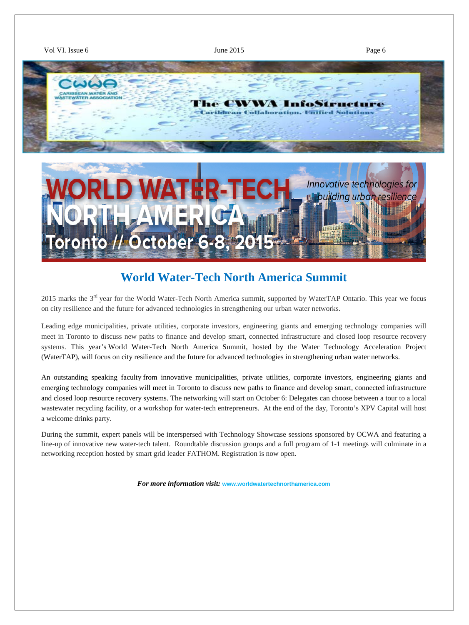

## **World Water-Tech North America Summit**

2015 marks the 3<sup>rd</sup> year for the World Water-Tech North America summit, supported by WaterTAP Ontario. This year we focus on city resilience and the future for advanced technologies in strengthening our urban water networks.

Leading edge municipalities, private utilities, corporate investors, engineering giants and emerging technology companies will meet in Toronto to discuss new paths to finance and develop smart, connected infrastructure and closed loop resource recovery systems. This year's [World Water-Tech North America Summit,](http://www.worldwatertechnorthamerica.com/) hosted by the Water Technology Acceleration Project (WaterTAP), will focus on city resilience and the future for advanced technologies in strengthening urban water networks.

[An outstanding speaking faculty](http://www.worldwatertechnorthamerica.com/speakers/) from innovative municipalities, private utilities, corporate investors, engineering giants and emerging technology companies will meet in Toronto to discuss new paths to finance and develop smart, connected infrastructure and closed loop resource recovery systems. The networking will start on October 6: Delegates can choose between a tour to a local wastewater recycling facility, or a workshop for water-tech entrepreneurs. At the end of the day, Toronto's XPV Capital will host a welcome drinks party.

During the summit, expert panels will be interspersed with Technology Showcase sessions sponsored by OCWA and featuring a line-up of innovative new water-tech talent. Roundtable discussion groups and a full program of 1-1 meetings will culminate in a networking reception hosted by smart grid leader FATHOM. Registration is now open.

*For more information visit:* **[www.worldwatertechnorthamerica.com](http://www.worldwatertechnorthamerica.com/)**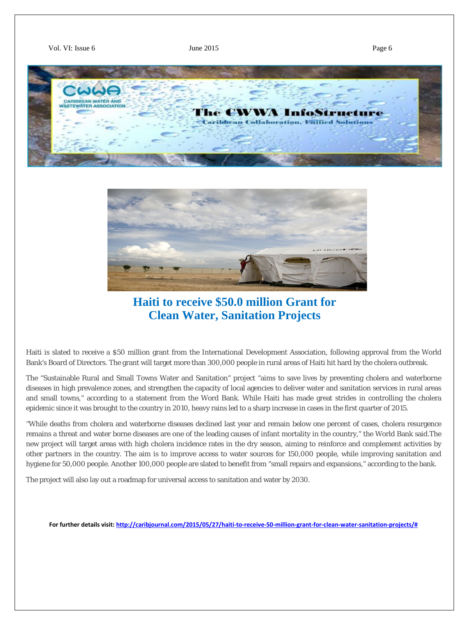



**Haiti to receive \$50.0 million Grant for Clean Water, Sanitation Projects**

Haiti is slated to receive a \$50 million grant from the International Development Association, following approval from the World Bank's Board of Directors. The grant will target more than 300,000 people in rural areas of Haiti hit hard by the cholera outbreak.

The "Sustainable Rural and Small Towns Water and Sanitation" project "aims to save lives by preventing cholera and waterborne diseases in high prevalence zones, and strengthen the capacity of local agencies to deliver water and sanitation services in rural areas and small towns," according to a statement from the Word Bank. While Haiti has made great strides in controlling the cholera epidemic since it was brought to the country in 2010, heavy rains led to a sharp increase in cases in the first quarter of 2015.

"While deaths from cholera and waterborne diseases declined last year and remain below one percent of cases, cholera resurgence remains a threat and water borne diseases are one of the leading causes of infant mortality in the country," the World Bank said.The new project will target areas with high cholera incidence rates in the dry season, aiming to reinforce and complement activities by other partners in the country. The aim is to improve access to water sources for 150,000 people, while improving sanitation and hygiene for 50,000 people. Another 100,000 people are slated to benefit from "small repairs and expansions," according to the bank.

The project will also lay out a roadmap for universal access to sanitation and water by 2030.

**For further details visit: [http://caribjournal.com/2015/05/27/haiti-to-receive-50-million-grant-for-clean-water-sanitation-projects/#](http://caribjournal.com/2015/05/27/haiti-to-receive-50-million-grant-for-clean-water-sanitation-projects/)**